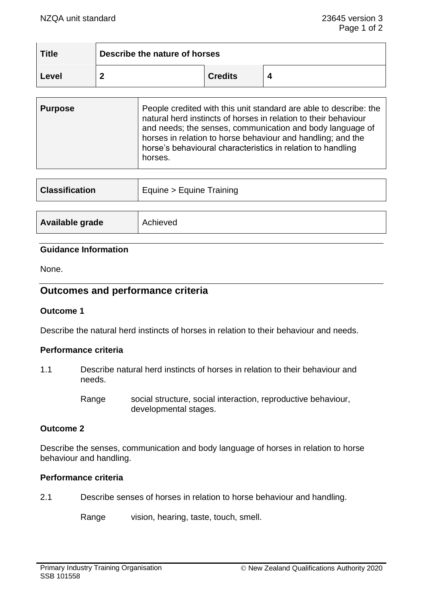| <b>Title</b> | Describe the nature of horses |                |  |
|--------------|-------------------------------|----------------|--|
| Level        |                               | <b>Credits</b> |  |

| <b>Purpose</b> | People credited with this unit standard are able to describe: the<br>natural herd instincts of horses in relation to their behaviour<br>and needs; the senses, communication and body language of<br>horses in relation to horse behaviour and handling; and the<br>horse's behavioural characteristics in relation to handling<br>horses. |
|----------------|--------------------------------------------------------------------------------------------------------------------------------------------------------------------------------------------------------------------------------------------------------------------------------------------------------------------------------------------|
|                |                                                                                                                                                                                                                                                                                                                                            |

| <b>Classification</b> | Equine > Equine Training |  |
|-----------------------|--------------------------|--|
|                       |                          |  |
| Available grade       | Achieved                 |  |

### **Guidance Information**

None.

# **Outcomes and performance criteria**

## **Outcome 1**

Describe the natural herd instincts of horses in relation to their behaviour and needs.

## **Performance criteria**

1.1 Describe natural herd instincts of horses in relation to their behaviour and needs.

> Range social structure, social interaction, reproductive behaviour, developmental stages.

#### **Outcome 2**

Describe the senses, communication and body language of horses in relation to horse behaviour and handling.

# **Performance criteria**

2.1 Describe senses of horses in relation to horse behaviour and handling.

Range vision, hearing, taste, touch, smell.